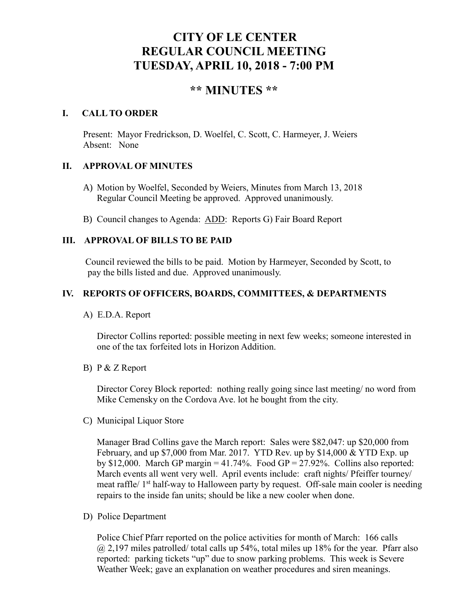# **CITY OF LE CENTER REGULAR COUNCIL MEETING TUESDAY, APRIL 10, 2018 - 7:00 PM**

## **\*\* MINUTES \*\***

## **I. CALL TO ORDER**

Present: Mayor Fredrickson, D. Woelfel, C. Scott, C. Harmeyer, J. Weiers Absent: None

## **II. APPROVAL OF MINUTES**

- A) Motion by Woelfel, Seconded by Weiers, Minutes from March 13, 2018 Regular Council Meeting be approved. Approved unanimously.
- B) Council changes to Agenda: ADD: Reports G) Fair Board Report

## **III. APPROVAL OF BILLS TO BE PAID**

Council reviewed the bills to be paid. Motion by Harmeyer, Seconded by Scott, to pay the bills listed and due. Approved unanimously.

## **IV. REPORTS OF OFFICERS, BOARDS, COMMITTEES, & DEPARTMENTS**

A) E.D.A. Report

 Director Collins reported: possible meeting in next few weeks; someone interested in one of the tax forfeited lots in Horizon Addition.

B) P & Z Report

Director Corey Block reported: nothing really going since last meeting/ no word from Mike Cemensky on the Cordova Ave. lot he bought from the city.

C) Municipal Liquor Store

Manager Brad Collins gave the March report: Sales were \$82,047: up \$20,000 from February, and up \$7,000 from Mar. 2017. YTD Rev. up by \$14,000 & YTD Exp. up by \$12,000. March GP margin =  $41.74\%$ . Food GP = 27.92%. Collins also reported: March events all went very well. April events include: craft nights/ Pfeiffer tourney/ meat raffle/ 1<sup>st</sup> half-way to Halloween party by request. Off-sale main cooler is needing repairs to the inside fan units; should be like a new cooler when done.

D) Police Department

Police Chief Pfarr reported on the police activities for month of March: 166 calls  $\omega$  2,197 miles patrolled/ total calls up 54%, total miles up 18% for the year. Pfarr also reported: parking tickets "up" due to snow parking problems. This week is Severe Weather Week; gave an explanation on weather procedures and siren meanings.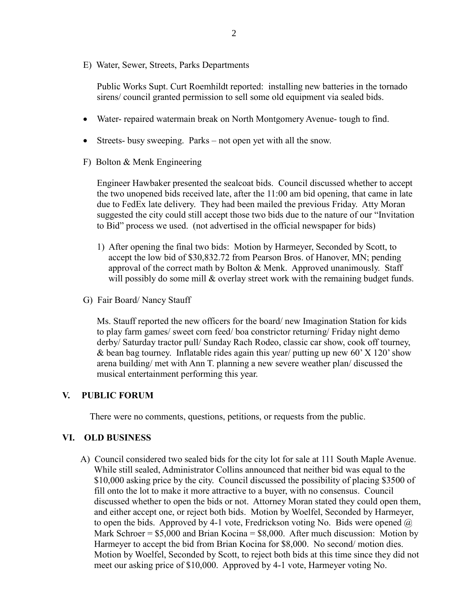E) Water, Sewer, Streets, Parks Departments

 Public Works Supt. Curt Roemhildt reported: installing new batteries in the tornado sirens/ council granted permission to sell some old equipment via sealed bids.

- Water- repaired watermain break on North Montgomery Avenue- tough to find.
- Streets- busy sweeping. Parks not open yet with all the snow.
- F) Bolton & Menk Engineering

 Engineer Hawbaker presented the sealcoat bids. Council discussed whether to accept the two unopened bids received late, after the 11:00 am bid opening, that came in late due to FedEx late delivery. They had been mailed the previous Friday. Atty Moran suggested the city could still accept those two bids due to the nature of our "Invitation to Bid" process we used. (not advertised in the official newspaper for bids)

- 1) After opening the final two bids: Motion by Harmeyer, Seconded by Scott, to accept the low bid of \$30,832.72 from Pearson Bros. of Hanover, MN; pending approval of the correct math by Bolton  $&$  Menk. Approved unanimously. Staff will possibly do some mill & overlay street work with the remaining budget funds.
- G) Fair Board/ Nancy Stauff

 Ms. Stauff reported the new officers for the board/ new Imagination Station for kids to play farm games/ sweet corn feed/ boa constrictor returning/ Friday night demo derby/ Saturday tractor pull/ Sunday Rach Rodeo, classic car show, cook off tourney, & bean bag tourney. Inflatable rides again this year/ putting up new 60' X 120' show arena building/ met with Ann T. planning a new severe weather plan/ discussed the musical entertainment performing this year.

#### **V. PUBLIC FORUM**

There were no comments, questions, petitions, or requests from the public.

## **VI. OLD BUSINESS**

A) Council considered two sealed bids for the city lot for sale at 111 South Maple Avenue. While still sealed, Administrator Collins announced that neither bid was equal to the \$10,000 asking price by the city. Council discussed the possibility of placing \$3500 of fill onto the lot to make it more attractive to a buyer, with no consensus. Council discussed whether to open the bids or not. Attorney Moran stated they could open them, and either accept one, or reject both bids. Motion by Woelfel, Seconded by Harmeyer, to open the bids. Approved by 4-1 vote, Fredrickson voting No. Bids were opened  $\omega$ Mark Schroer =  $$5,000$  and Brian Kocina =  $$8,000$ . After much discussion: Motion by Harmeyer to accept the bid from Brian Kocina for \$8,000. No second/ motion dies. Motion by Woelfel, Seconded by Scott, to reject both bids at this time since they did not meet our asking price of \$10,000. Approved by 4-1 vote, Harmeyer voting No.